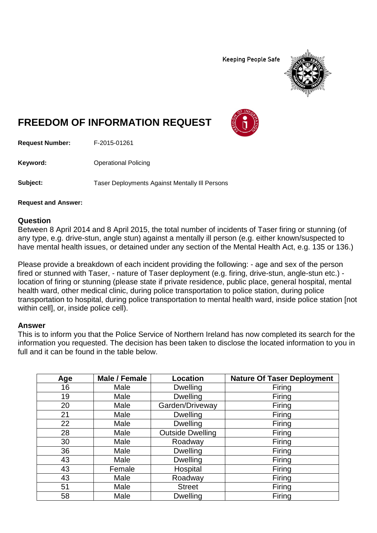**Keeping People Safe** 



## **FREEDOM OF INFORMATION REQUEST**

**Request Number:** F-2015-01261

**Keyword:** Operational Policing

Subject: Taser Deployments Against Mentally III Persons

**Request and Answer:**

## **Question**

Between 8 April 2014 and 8 April 2015, the total number of incidents of Taser firing or stunning (of any type, e.g. drive-stun, angle stun) against a mentally ill person (e.g. either known/suspected to have mental health issues, or detained under any section of the Mental Health Act, e.g. 135 or 136.)

Please provide a breakdown of each incident providing the following: - age and sex of the person fired or stunned with Taser, - nature of Taser deployment (e.g. firing, drive-stun, angle-stun etc.) location of firing or stunning (please state if private residence, public place, general hospital, mental health ward, other medical clinic, during police transportation to police station, during police transportation to hospital, during police transportation to mental health ward, inside police station [not within cell], or, inside police cell).

## **Answer**

This is to inform you that the Police Service of Northern Ireland has now completed its search for the information you requested. The decision has been taken to disclose the located information to you in full and it can be found in the table below.

| Age | Male / Female | <b>Location</b>         | <b>Nature Of Taser Deployment</b> |
|-----|---------------|-------------------------|-----------------------------------|
| 16  | Male          | <b>Dwelling</b>         | Firing                            |
| 19  | Male          | <b>Dwelling</b>         | Firing                            |
| 20  | Male          | Garden/Driveway         | Firing                            |
| 21  | Male          | <b>Dwelling</b>         | Firing                            |
| 22  | Male          | <b>Dwelling</b>         | Firing                            |
| 28  | Male          | <b>Outside Dwelling</b> | Firing                            |
| 30  | Male          | Roadway                 | Firing                            |
| 36  | Male          | <b>Dwelling</b>         | Firing                            |
| 43  | Male          | <b>Dwelling</b>         | Firing                            |
| 43  | Female        | Hospital                | Firing                            |
| 43  | Male          | Roadway                 | Firing                            |
| 51  | Male          | <b>Street</b>           | Firing                            |
| 58  | Male          | <b>Dwelling</b>         | Firing                            |